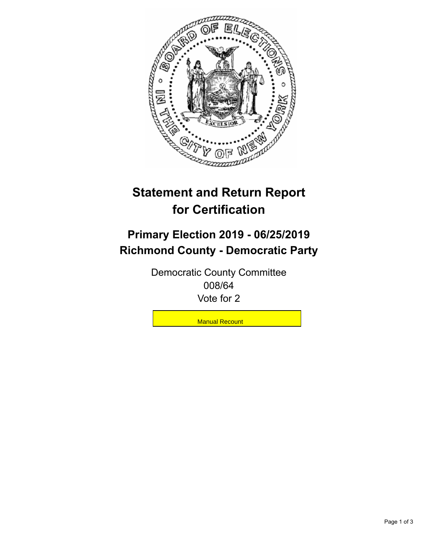

## **Statement and Return Report for Certification**

## **Primary Election 2019 - 06/25/2019 Richmond County - Democratic Party**

Democratic County Committee 008/64 Vote for 2

**Manual Recount**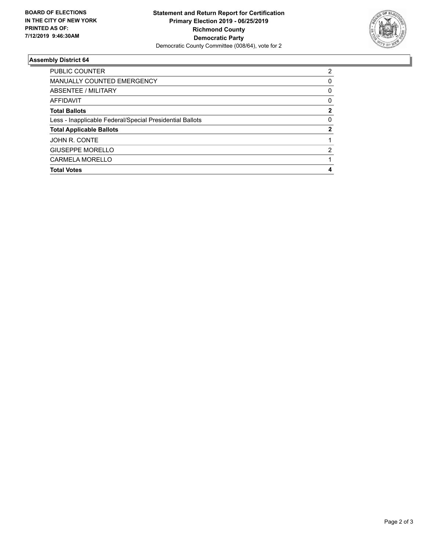

## **Assembly District 64**

| PUBLIC COUNTER                                           | 2        |
|----------------------------------------------------------|----------|
| <b>MANUALLY COUNTED EMERGENCY</b>                        | $\Omega$ |
| <b>ABSENTEE / MILITARY</b>                               | 0        |
| AFFIDAVIT                                                | 0        |
| <b>Total Ballots</b>                                     | 2        |
| Less - Inapplicable Federal/Special Presidential Ballots | $\Omega$ |
| <b>Total Applicable Ballots</b>                          | 2        |
| JOHN R. CONTE                                            |          |
| <b>GIUSEPPE MORELLO</b>                                  | 2        |
| <b>CARMELA MORELLO</b>                                   |          |
| <b>Total Votes</b>                                       | 4        |
|                                                          |          |